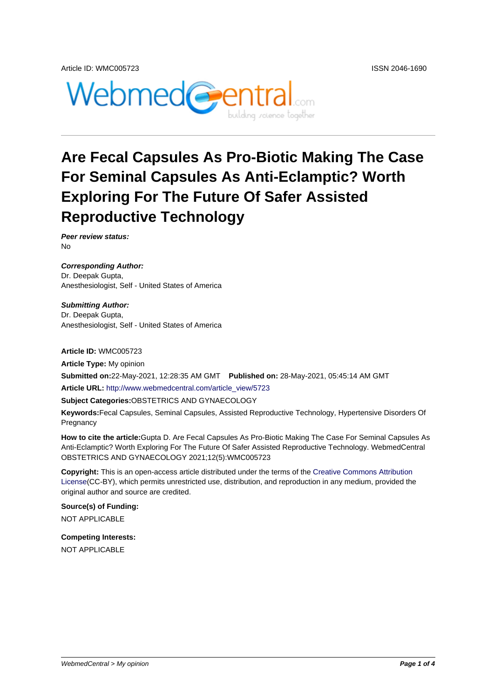

# **Are Fecal Capsules As Pro-Biotic Making The Case For Seminal Capsules As Anti-Eclamptic? Worth Exploring For The Future Of Safer Assisted Reproductive Technology**

**Peer review status:** No

**Corresponding Author:** Dr. Deepak Gupta, Anesthesiologist, Self - United States of America

**Submitting Author:** Dr. Deepak Gupta, Anesthesiologist, Self - United States of America

**Article ID:** WMC005723

**Article Type:** My opinion **Submitted on:**22-May-2021, 12:28:35 AM GMT **Published on:** 28-May-2021, 05:45:14 AM GMT **Article URL:** http://www.webmedcentral.com/article\_view/5723 **Subject Categories:**OBSTETRICS AND GYNAECOLOGY **Keywords:**Fecal Capsules, Seminal Capsules, Assisted Reproductive Technology, Hypertensive Disorders Of **Pregnancy** 

**How to cite the article:**Gupta D. Are Fecal Capsules As Pro-Biotic Making The Case For Seminal Capsules As Anti-Eclamptic? Worth Exploring For The Future Of Safer Assisted Reproductive Technology. WebmedCentral OBSTETRICS AND GYNAECOLOGY 2021;12(5):WMC005723

**Copyright:** This is an open-access article distributed under the terms of the Creative Commons Attribution License(CC-BY), which permits unrestricted use, distribution, and reproduction in any medium, provided the original author and source are credited.

**Source(s) of Funding:** [NOT AP](http://creativecommons.org/licenses/by/3.0/)PLICABLE

**Competing Interests:** NOT APPLICABLE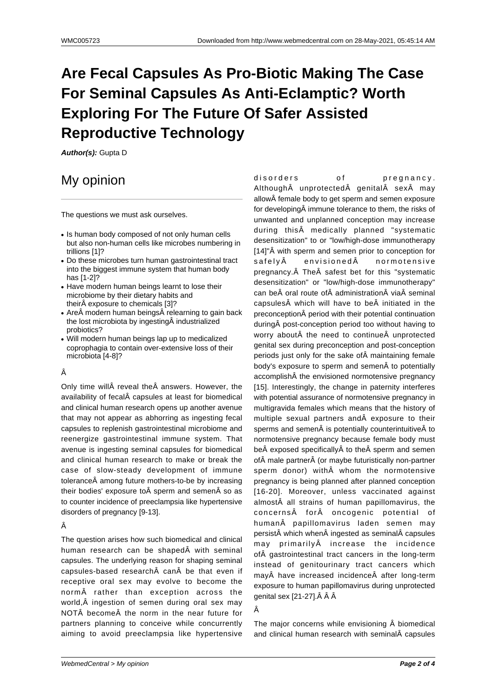## **Are Fecal Capsules As Pro-Biotic Making The Case For Seminal Capsules As Anti-Eclamptic? Worth Exploring For The Future Of Safer Assisted Reproductive Technology**

**Author(s):** Gupta D

### My opinion

The questions we must ask ourselves.

- Is human body composed of not only human cells but also non-human cells like microbes numbering in trillions [1]?
- Do these microbes turn human gastrointestinal tract into the biggest immune system that human body has [1-2]?
- Have modern human beings learnt to lose their microbiome by their dietary habits and their exposure to chemicals [3]?
- Are modern human beings relearning to gain back the lost microbiota by ingesting industrialized probiotics?
- Will modern human beings lap up to medicalized coprophagia to contain over-extensive loss of their microbiota [4-8]?

#### Â

Only time will reveal the answers. However, the availability of fecal capsules at least for biomedical and clinical human research opens up another avenue that may not appear as abhorring as ingesting fecal capsules to replenish gastrointestinal microbiome and reenergize gastrointestinal immune system. That avenue is ingesting seminal capsules for biomedical and clinical human research to make or break the case of slow-steady development of immune tolerance among future mothers-to-be by increasing their bodies' exposure to $\hat{A}$  sperm and semen $\hat{A}$  so as to counter incidence of preeclampsia like hypertensive disorders of pregnancy [9-13].

#### Â

The question arises how such biomedical and clinical human research can be shaped with seminal capsules. The underlying reason for shaping seminal capsules-based research can be that even if receptive oral sex may evolve to become the norm rather than exception across the world, Â ingestion of semen during oral sex may NOT become the norm in the near future for partners planning to conceive while concurrently aiming to avoid preeclampsia like hypertensive

disorders of pregnancy. Although A unprotected A genital A sex A may allow female body to get sperm and semen exposure for developing  $\hat{A}$  immune tolerance to them, the risks of unwanted and unplanned conception may increase during this medically planned "systematic desensitization" to or "low/high-dose immunotherapy [14]"Â with sperm and semen prior to conception for safely  $\hat{A}$  envisioned  $\hat{A}$  normotensive pregnancy. The safest bet for this "systematic desensitization" or "low/high-dose immunotherapy" can be oral route of administration via seminal capsules $\hat{A}$  which will have to be $\hat{A}$  initiated in the preconception period with their potential continuation during post-conception period too without having to worry about the need to continue unprotected genital sex during preconception and post-conception periods just only for the sake of maintaining female body's exposure to sperm and semen to potentially accomplish the envisioned normotensive pregnancy [15]. Interestingly, the change in paternity interferes with potential assurance of normotensive pregnancy in multigravida females which means that the history of multiple sexual partners and exposure to their sperms and semen $\hat{A}$  is potentially counterintuitive $\hat{A}$  to normotensive pregnancy because female body must be exposed specifically to the sperm and semen of male partner (or maybe futuristically non-partner sperm donor) with whom the normotensive pregnancy is being planned after planned conception [16-20]. Moreover, unless vaccinated against almost all strains of human papillomavirus, the concerns for oncogenic potential of human papillomavirus laden semen may persist which when ingested as seminal capsules may primarily A increase the incidence of A gastrointestinal tract cancers in the long-term instead of genitourinary tract cancers which may have increased incidence after long-term exposure to human papillomavirus during unprotected genital sex [21-27]. $\hat{A}$   $\hat{A}$ 

#### Â

The major concerns while envisioning  $\hat{A}$  biomedical and clinical human research with seminal capsules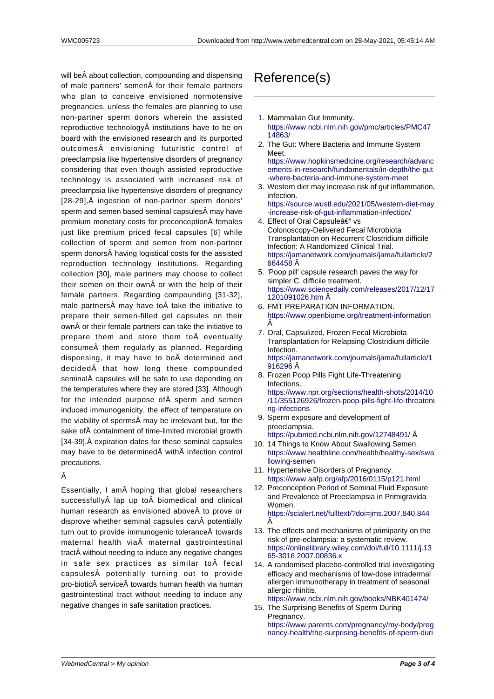will be about collection, compounding and dispensing of male partners' semen for their female partners who plan to conceive envisioned normotensive pregnancies, unless the females are planning to use non-partner sperm donors wherein the assisted reproductive technology institutions have to be on board with the envisioned research and its purported outcomes envisioning futuristic control of preeclampsia like hypertensive disorders of pregnancy considering that even though assisted reproductive technology is associated with increased risk of preeclampsia like hypertensive disorders of pregnancy [28-29], Â ingestion of non-partner sperm donors' sperm and semen based seminal capsules may have premium monetary costs for preconception females just like premium priced fecal capsules [6] while collection of sperm and semen from non-partner sperm donors having logistical costs for the assisted reproduction technology institutions. Regarding collection [30], male partners may choose to collect their semen on their own $A$  or with the help of their female partners. Regarding compounding [31-32], male partners $\hat{A}$  may have to $\hat{A}$  take the initiative to prepare their semen-filled gel capsules on their own or their female partners can take the initiative to prepare them and store them to $\hat{A}$  eventually consume them regularly as planned. Regarding dispensing, it may have to be determined and decided A that how long these compounded seminal capsules will be safe to use depending on the temperatures where they are stored [33]. Although for the intended purpose of sperm and semen induced immunogenicity, the effect of temperature on the viability of sperms may be irrelevant but, for the sake of containment of time-limited microbial growth [34-39], Â expiration dates for these seminal capsules may have to be determined with infection control precautions.

#### Â

Essentially, I am $\hat{A}$  hoping that global researchers successfully lap up to biomedical and clinical human research as envisioned above to prove or disprove whether seminal capsules can potentially turn out to provide immunogenic tolerance towards maternal health via maternal gastrointestinal tract without needing to induce any negative changes in safe sex practices as similar to fecal capsules potentially turning out to provide pro-biotic service towards human health via human gastrointestinal tract without needing to induce any negative changes in safe sanitation practices.

### Reference(s)

- 1. Mammalian Gut Immunity. https://www.ncbi.nlm.nih.gov/pmc/articles/PMC47 14863/
- 2. The Gut: Where Bacteria and Immune System Meet.

https://www.hopkinsmedicine.org/research/advanc [ements-in-research/fundamentals/in-depth/the-gu](https://www.ncbi.nlm.nih.gov/pmc/articles/PMC4714863/)t [-where-](https://www.ncbi.nlm.nih.gov/pmc/articles/PMC4714863/)bacteria-and-immune-system-meet

- 3. Western diet may increase risk of gut inflammation, infection.
	- [https://source.wustl.edu/2021/05/western-diet-may](https://www.hopkinsmedicine.org/research/advancements-in-research/fundamentals/in-depth/the-gut-where-bacteria-and-immune-system-meet) [-increase-risk-of-gut-inflammation-infection/](https://www.hopkinsmedicine.org/research/advancements-in-research/fundamentals/in-depth/the-gut-where-bacteria-and-immune-system-meet)
- 4. [Effect of Oral Capsule– vs](https://www.hopkinsmedicine.org/research/advancements-in-research/fundamentals/in-depth/the-gut-where-bacteria-and-immune-system-meet) Colonoscopy-Delivered Fecal Microbiota Transplantation on Recurrent Clostridium difficile [Infection: A Randomized Clinical Trial.](https://source.wustl.edu/2021/05/western-diet-may-increase-risk-of-gut-inflammation-infection/) [https://jamanetwork.com/journals/jama/fullar](https://source.wustl.edu/2021/05/western-diet-may-increase-risk-of-gut-inflammation-infection/)ticle/2 664458 Â
- 5. 'Poop pill' capsule research paves the way for simpler C. difficile treatment. https://www.sciencedaily.com/releases/2017/12/17 [1201091026.htm](https://jamanetwork.com/journals/jama/fullarticle/2664458)
- 6. [FMT PR](https://jamanetwork.com/journals/jama/fullarticle/2664458)EPARATION INFORMATION. https://www.openbiome.org/treatment-information Â
- 7. [Oral, Capsulized, Frozen Fecal Microbiota](https://www.sciencedaily.com/releases/2017/12/171201091026.htm) [Transplantation fo](https://www.sciencedaily.com/releases/2017/12/171201091026.htm)r Relapsing Clostridium difficile Infection. [https://jamanetwork.com/journals/jama/fullarticle/1](https://www.openbiome.org/treatment-information) 916296 Â
- 8. Frozen Poop Pills Fight Life-Threatening Infections. https://www.npr.org/sections/health-shots/2014/10 [/11/355126926/frozen-poop-pills-fight-life-threaten](https://jamanetwork.com/journals/jama/fullarticle/1916296)i [ng-infec](https://jamanetwork.com/journals/jama/fullarticle/1916296)tions
- 9. Sperm exposure and development of preeclampsia.
- [https://pubmed.ncbi.nlm.nih.gov/12748491/ Â](https://www.npr.org/sections/health-shots/2014/10/11/355126926/frozen-poop-pills-fight-life-threatening-infections)  10. [14 Things to Know About Swallowing Semen.](https://www.npr.org/sections/health-shots/2014/10/11/355126926/frozen-poop-pills-fight-life-threatening-infections)
- [https://www.h](https://www.npr.org/sections/health-shots/2014/10/11/355126926/frozen-poop-pills-fight-life-threatening-infections)ealthline.com/health/healthy-sex/swa llowing-semen
- 11. Hypertensive Disorders of Pregnancy. [https://www.aafp.org/afp/2016/0115/p121.ht](https://pubmed.ncbi.nlm.nih.gov/12748491/)ml
- 12. Preconception Period of Seminal Fluid Exposure [and Prevalence of Preeclampsia in Primigravida](https://www.healthline.com/health/healthy-sex/swallowing-semen) [Women.](https://www.healthline.com/health/healthy-sex/swallowing-semen) https://scialert.net/fulltext/?doi=jms.2007.840.844 Â
- 13. The effects and mechanisms of primiparity on the risk of pre-eclampsia: a systematic review. https://onlinelibrary.wiley.com/doi/full/10.1111/j.13 [65-3016.2007.00836.x](https://scialert.net/fulltext/?doi=jms.2007.840.844)
- 14. A randomised placebo-controlled trial investigating efficacy and mechanisms of low-dose intradermal allergen immunotherapy in treatment of seasonal [allergic rhinitis.](https://onlinelibrary.wiley.com/doi/full/10.1111/j.1365-3016.2007.00836.x) [https://www.ncbi.nlm.n](https://onlinelibrary.wiley.com/doi/full/10.1111/j.1365-3016.2007.00836.x)ih.gov/books/NBK401474/
- 15. The Surprising Benefits of Sperm During Pregnancy.

https://www.parents.com/pregnancy/my-body/preg [nancy-health/the-surprising-benefits-of-sperm-du](https://www.ncbi.nlm.nih.gov/books/NBK401474/)ri